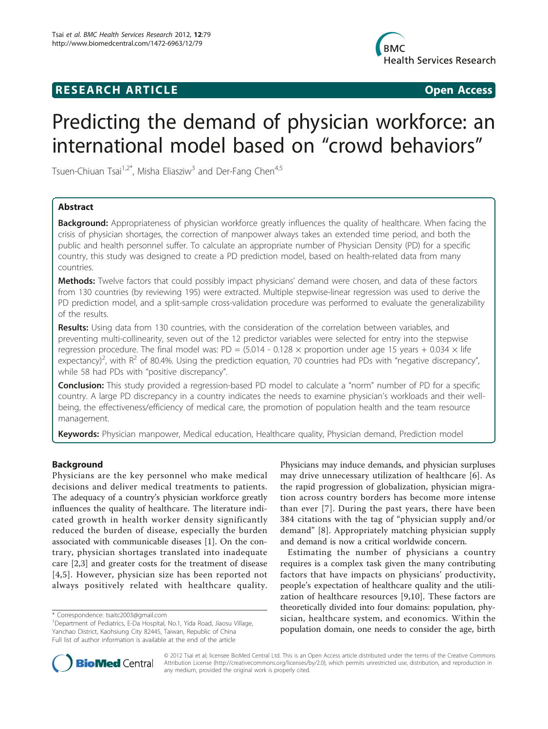# **RESEARCH ARTICLE Example 2018 Open Access**



# Predicting the demand of physician workforce: an international model based on "crowd behaviors"

Tsuen-Chiuan Tsai<sup>1,2\*</sup>, Misha Eliasziw<sup>3</sup> and Der-Fang Chen<sup>4,5</sup>

# Abstract

**Background:** Appropriateness of physician workforce greatly influences the quality of healthcare. When facing the crisis of physician shortages, the correction of manpower always takes an extended time period, and both the public and health personnel suffer. To calculate an appropriate number of Physician Density (PD) for a specific country, this study was designed to create a PD prediction model, based on health-related data from many countries.

Methods: Twelve factors that could possibly impact physicians' demand were chosen, and data of these factors from 130 countries (by reviewing 195) were extracted. Multiple stepwise-linear regression was used to derive the PD prediction model, and a split-sample cross-validation procedure was performed to evaluate the generalizability of the results.

Results: Using data from 130 countries, with the consideration of the correlation between variables, and preventing multi-collinearity, seven out of the 12 predictor variables were selected for entry into the stepwise regression procedure. The final model was: PD =  $(5.014 - 0.128 \times$  proportion under age 15 years + 0.034  $\times$  life expectancy)<sup>2</sup>, with  $R^2$  of 80.4%. Using the prediction equation, 70 countries had PDs with "negative discrepancy", while 58 had PDs with "positive discrepancy".

Conclusion: This study provided a regression-based PD model to calculate a "norm" number of PD for a specific country. A large PD discrepancy in a country indicates the needs to examine physician's workloads and their wellbeing, the effectiveness/efficiency of medical care, the promotion of population health and the team resource management.

Keywords: Physician manpower, Medical education, Healthcare quality, Physician demand, Prediction model

# Background

Physicians are the key personnel who make medical decisions and deliver medical treatments to patients. The adequacy of a country's physician workforce greatly influences the quality of healthcare. The literature indicated growth in health worker density significantly reduced the burden of disease, especially the burden associated with communicable diseases [[1\]](#page-9-0). On the contrary, physician shortages translated into inadequate care [[2](#page-9-0),[3\]](#page-9-0) and greater costs for the treatment of disease [[4](#page-9-0),[5](#page-9-0)]. However, physician size has been reported not always positively related with healthcare quality.

Physicians may induce demands, and physician surpluses may drive unnecessary utilization of healthcare [[6\]](#page-9-0). As the rapid progression of globalization, physician migration across country borders has become more intense than ever [[7](#page-9-0)]. During the past years, there have been 384 citations with the tag of "physician supply and/or demand" [[8](#page-9-0)]. Appropriately matching physician supply and demand is now a critical worldwide concern.

Estimating the number of physicians a country requires is a complex task given the many contributing factors that have impacts on physicians' productivity, people's expectation of healthcare quality and the utilization of healthcare resources [[9,10](#page-9-0)]. These factors are theoretically divided into four domains: population, physician, healthcare system, and economics. Within the population domain, one needs to consider the age, birth



© 2012 Tsai et al; licensee BioMed Central Ltd. This is an Open Access article distributed under the terms of the Creative Commons Attribution License [\(http://creativecommons.org/licenses/by/2.0](http://creativecommons.org/licenses/by/2.0)), which permits unrestricted use, distribution, and reproduction in any medium, provided the original work is properly cited.

<sup>\*</sup> Correspondence: [tsaitc2003@gmail.com](mailto:tsaitc2003@gmail.com)

<sup>&</sup>lt;sup>1</sup>Department of Pediatrics, E-Da Hospital, No.1, Yida Road, Jiaosu Village, Yanchao District, Kaohsiung City 82445, Taiwan, Republic of China Full list of author information is available at the end of the article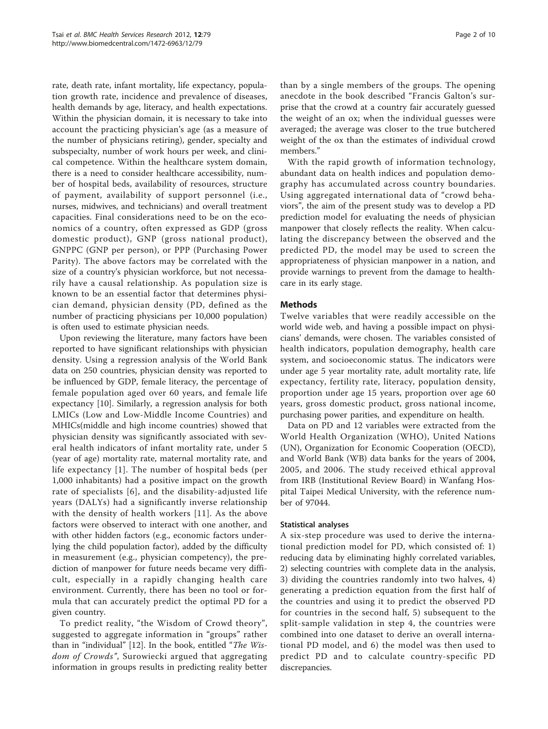rate, death rate, infant mortality, life expectancy, population growth rate, incidence and prevalence of diseases, health demands by age, literacy, and health expectations. Within the physician domain, it is necessary to take into account the practicing physician's age (as a measure of the number of physicians retiring), gender, specialty and subspecialty, number of work hours per week, and clinical competence. Within the healthcare system domain, there is a need to consider healthcare accessibility, number of hospital beds, availability of resources, structure of payment, availability of support personnel (i.e., nurses, midwives, and technicians) and overall treatment capacities. Final considerations need to be on the economics of a country, often expressed as GDP (gross domestic product), GNP (gross national product), GNPPC (GNP per person), or PPP (Purchasing Power Parity). The above factors may be correlated with the size of a country's physician workforce, but not necessarily have a causal relationship. As population size is known to be an essential factor that determines physician demand, physician density (PD, defined as the number of practicing physicians per 10,000 population) is often used to estimate physician needs.

Upon reviewing the literature, many factors have been reported to have significant relationships with physician density. Using a regression analysis of the World Bank data on 250 countries, physician density was reported to be influenced by GDP, female literacy, the percentage of female population aged over 60 years, and female life expectancy [[10](#page-9-0)]. Similarly, a regression analysis for both LMICs (Low and Low-Middle Income Countries) and MHICs(middle and high income countries) showed that physician density was significantly associated with several health indicators of infant mortality rate, under 5 (year of age) mortality rate, maternal mortality rate, and life expectancy [[1](#page-9-0)]. The number of hospital beds (per 1,000 inhabitants) had a positive impact on the growth rate of specialists [[6](#page-9-0)], and the disability-adjusted life years (DALYs) had a significantly inverse relationship with the density of health workers [\[11\]](#page-9-0). As the above factors were observed to interact with one another, and with other hidden factors (e.g., economic factors underlying the child population factor), added by the difficulty in measurement (e.g., physician competency), the prediction of manpower for future needs became very difficult, especially in a rapidly changing health care environment. Currently, there has been no tool or formula that can accurately predict the optimal PD for a given country.

To predict reality, "the Wisdom of Crowd theory", suggested to aggregate information in "groups" rather than in "individual" [\[12\]](#page-9-0). In the book, entitled "The Wisdom of Crowds", Surowiecki argued that aggregating information in groups results in predicting reality better

than by a single members of the groups. The opening anecdote in the book described "Francis Galton's surprise that the crowd at a country fair accurately guessed the weight of an ox; when the individual guesses were averaged; the average was closer to the true butchered weight of the ox than the estimates of individual crowd members."

With the rapid growth of information technology, abundant data on health indices and population demography has accumulated across country boundaries. Using aggregated international data of "crowd behaviors", the aim of the present study was to develop a PD prediction model for evaluating the needs of physician manpower that closely reflects the reality. When calculating the discrepancy between the observed and the predicted PD, the model may be used to screen the appropriateness of physician manpower in a nation, and provide warnings to prevent from the damage to healthcare in its early stage.

# Methods

Twelve variables that were readily accessible on the world wide web, and having a possible impact on physicians' demands, were chosen. The variables consisted of health indicators, population demography, health care system, and socioeconomic status. The indicators were under age 5 year mortality rate, adult mortality rate, life expectancy, fertility rate, literacy, population density, proportion under age 15 years, proportion over age 60 years, gross domestic product, gross national income, purchasing power parities, and expenditure on health.

Data on PD and 12 variables were extracted from the World Health Organization (WHO), United Nations (UN), Organization for Economic Cooperation (OECD), and World Bank (WB) data banks for the years of 2004, 2005, and 2006. The study received ethical approval from IRB (Institutional Review Board) in Wanfang Hospital Taipei Medical University, with the reference number of 97044.

#### Statistical analyses

A six-step procedure was used to derive the international prediction model for PD, which consisted of: 1) reducing data by eliminating highly correlated variables, 2) selecting countries with complete data in the analysis, 3) dividing the countries randomly into two halves, 4) generating a prediction equation from the first half of the countries and using it to predict the observed PD for countries in the second half, 5) subsequent to the split-sample validation in step 4, the countries were combined into one dataset to derive an overall international PD model, and 6) the model was then used to predict PD and to calculate country-specific PD discrepancies.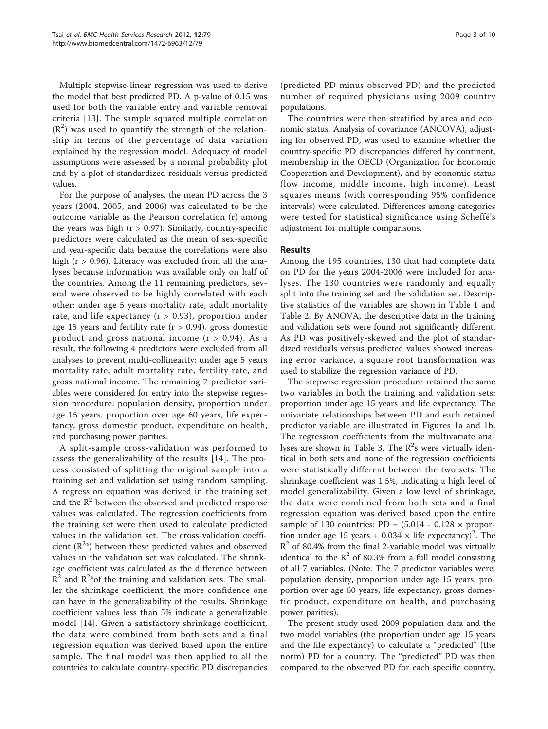Multiple stepwise-linear regression was used to derive the model that best predicted PD. A p-value of 0.15 was used for both the variable entry and variable removal criteria [[13](#page-9-0)]. The sample squared multiple correlation  $(R<sup>2</sup>)$  was used to quantify the strength of the relationship in terms of the percentage of data variation explained by the regression model. Adequacy of model assumptions were assessed by a normal probability plot and by a plot of standardized residuals versus predicted values.

For the purpose of analyses, the mean PD across the 3 years (2004, 2005, and 2006) was calculated to be the outcome variable as the Pearson correlation (r) among the years was high  $(r > 0.97)$ . Similarly, country-specific predictors were calculated as the mean of sex-specific and year-specific data because the correlations were also high (r > 0.96). Literacy was excluded from all the analyses because information was available only on half of the countries. Among the 11 remaining predictors, several were observed to be highly correlated with each other: under age 5 years mortality rate, adult mortality rate, and life expectancy  $(r > 0.93)$ , proportion under age 15 years and fertility rate  $(r > 0.94)$ , gross domestic product and gross national income  $(r > 0.94)$ . As a result, the following 4 predictors were excluded from all analyses to prevent multi-collinearity: under age 5 years mortality rate, adult mortality rate, fertility rate, and gross national income. The remaining 7 predictor variables were considered for entry into the stepwise regression procedure: population density, proportion under age 15 years, proportion over age 60 years, life expectancy, gross domestic product, expenditure on health, and purchasing power parities.

A split-sample cross-validation was performed to assess the generalizability of the results [[14](#page-9-0)]. The process consisted of splitting the original sample into a training set and validation set using random sampling. A regression equation was derived in the training set and the  $R^2$  between the observed and predicted response values was calculated. The regression coefficients from the training set were then used to calculate predicted values in the validation set. The cross-validation coefficient  $(R^{2})$  between these predicted values and observed values in the validation set was calculated. The shrinkage coefficient was calculated as the difference between  $\mathbb{R}^2$  and  $\mathbb{R}^{2*}$ of the training and validation sets. The smaller the shrinkage coefficient, the more confidence one can have in the generalizability of the results. Shrinkage coefficient values less than 5% indicate a generalizable model [[14\]](#page-9-0). Given a satisfactory shrinkage coefficient, the data were combined from both sets and a final regression equation was derived based upon the entire sample. The final model was then applied to all the countries to calculate country-specific PD discrepancies

(predicted PD minus observed PD) and the predicted number of required physicians using 2009 country populations.

The countries were then stratified by area and economic status. Analysis of covariance (ANCOVA), adjusting for observed PD, was used to examine whether the country-specific PD discrepancies differed by continent, membership in the OECD (Organization for Economic Cooperation and Development), and by economic status (low income, middle income, high income). Least squares means (with corresponding 95% confidence intervals) were calculated. Differences among categories were tested for statistical significance using Scheffé's adjustment for multiple comparisons.

# Results

Among the 195 countries, 130 that had complete data on PD for the years 2004-2006 were included for analyses. The 130 countries were randomly and equally split into the training set and the validation set. Descriptive statistics of the variables are shown in Table [1](#page-3-0) and Table [2.](#page-3-0) By ANOVA, the descriptive data in the training and validation sets were found not significantly different. As PD was positively-skewed and the plot of standardized residuals versus predicted values showed increasing error variance, a square root transformation was used to stabilize the regression variance of PD.

The stepwise regression procedure retained the same two variables in both the training and validation sets: proportion under age 15 years and life expectancy. The univariate relationships between PD and each retained predictor variable are illustrated in Figures [1a](#page-4-0) and [1b](#page-4-0). The regression coefficients from the multivariate ana-lyses are shown in Table [3.](#page-4-0) The  $R^2$ s were virtually identical in both sets and none of the regression coefficients were statistically different between the two sets. The shrinkage coefficient was 1.5%, indicating a high level of model generalizability. Given a low level of shrinkage, the data were combined from both sets and a final regression equation was derived based upon the entire sample of 130 countries: PD =  $(5.014 - 0.128 \times \text{propor-}$ tion under age 15 years + 0.034  $\times$  life expectancy)<sup>2</sup>. The  $R^2$  of 80.4% from the final 2-variable model was virtually identical to the  $\mathbb{R}^2$  of 80.3% from a full model consisting of all 7 variables. (Note: The 7 predictor variables were: population density, proportion under age 15 years, proportion over age 60 years, life expectancy, gross domestic product, expenditure on health, and purchasing power parities).

The present study used 2009 population data and the two model variables (the proportion under age 15 years and the life expectancy) to calculate a "predicted" (the norm) PD for a country. The "predicted" PD was then compared to the observed PD for each specific country,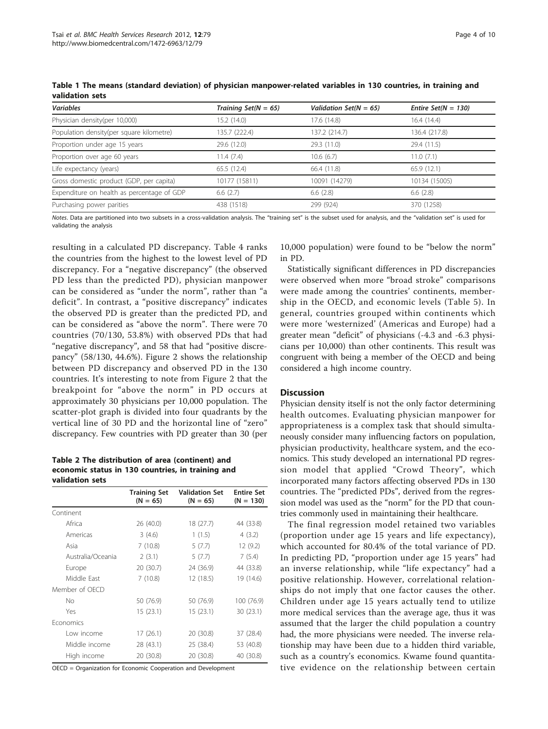| <b>Variables</b>                           | Training Set( $N = 65$ ) | Validation Set( $N = 65$ ) | Entire Set( $N = 130$ ) |
|--------------------------------------------|--------------------------|----------------------------|-------------------------|
| Physician density(per 10,000)              | 15.2 (14.0)              | 17.6 (14.8)                | 16.4(14.4)              |
| Population density(per square kilometre)   | 135.7 (222.4)            | 137.2 (214.7)              | 136.4 (217.8)           |
| Proportion under age 15 years              | 29.6 (12.0)              | 29.3 (11.0)                | 29.4 (11.5)             |
| Proportion over age 60 years               | 11.4(7.4)                | 10.6(6.7)                  | 11.0(7.1)               |
| Life expectancy (years)                    | 65.5 (12.4)              | 66.4 (11.8)                | 65.9(12.1)              |
| Gross domestic product (GDP, per capita)   | 10177 (15811)            | 10091 (14279)              | 10134 (15005)           |
| Expenditure on health as percentage of GDP | 6.6(2.7)                 | 6.6(2.8)                   | 6.6(2.8)                |
| Purchasing power parities                  | 438 (1518)               | 299 (924)                  | 370 (1258)              |

<span id="page-3-0"></span>Table 1 The means (standard deviation) of physician manpower-related variables in 130 countries, in training and validation sets

Notes. Data are partitioned into two subsets in a cross-validation analysis. The "training set" is the subset used for analysis, and the "validation set" is used for validating the analysis

resulting in a calculated PD discrepancy. Table [4](#page-5-0) ranks the countries from the highest to the lowest level of PD discrepancy. For a "negative discrepancy" (the observed PD less than the predicted PD), physician manpower can be considered as "under the norm", rather than "a deficit". In contrast, a "positive discrepancy" indicates the observed PD is greater than the predicted PD, and can be considered as "above the norm". There were 70 countries (70/130, 53.8%) with observed PDs that had "negative discrepancy", and 58 that had "positive discrepancy" (58/130, 44.6%). Figure [2](#page-8-0) shows the relationship between PD discrepancy and observed PD in the 130 countries. It's interesting to note from Figure [2](#page-8-0) that the breakpoint for "above the norm" in PD occurs at approximately 30 physicians per 10,000 population. The scatter-plot graph is divided into four quadrants by the vertical line of 30 PD and the horizontal line of "zero" discrepancy. Few countries with PD greater than 30 (per

# Table 2 The distribution of area (continent) and economic status in 130 countries, in training and validation sets

|                   | <b>Training Set</b><br>$(N = 65)$ | <b>Validation Set</b><br>$(N = 65)$ | <b>Entire Set</b><br>$(N = 130)$ |
|-------------------|-----------------------------------|-------------------------------------|----------------------------------|
| Continent         |                                   |                                     |                                  |
| Africa            | 26 (40.0)                         | 18 (27.7)                           | 44 (33.8)                        |
| Americas          | 3(4.6)                            | 1(1.5)                              | 4(3.2)                           |
| Asia              | 7(10.8)                           | 5(7.7)                              | 12 (9.2)                         |
| Australia/Oceania | 2(3.1)                            | 5(7.7)                              | 7(5.4)                           |
| Europe            | 20 (30.7)                         | 24 (36.9)                           | 44 (33.8)                        |
| Middle Fast       | 7(10.8)                           | 12 (18.5)                           | 19 (14.6)                        |
| Member of OFCD    |                                   |                                     |                                  |
| No                | 50 (76.9)                         | 50 (76.9)                           | 100 (76.9)                       |
| Yes               | 15 (23.1)                         | 15(23.1)                            | 30 (23.1)                        |
| Fconomics         |                                   |                                     |                                  |
| Low income        | 17 (26.1)                         | 20 (30.8)                           | 37 (28.4)                        |
| Middle income     | 28 (43.1)                         | 25 (38.4)                           | 53 (40.8)                        |
| High income       | 20 (30.8)                         | 20 (30.8)                           | 40 (30.8)                        |

OECD = Organization for Economic Cooperation and Development

10,000 population) were found to be "below the norm" in PD.

Statistically significant differences in PD discrepancies were observed when more "broad stroke" comparisons were made among the countries' continents, membership in the OECD, and economic levels (Table [5\)](#page-8-0). In general, countries grouped within continents which were more 'westernized' (Americas and Europe) had a greater mean "deficit" of physicians (-4.3 and -6.3 physicians per 10,000) than other continents. This result was congruent with being a member of the OECD and being considered a high income country.

#### **Discussion**

Physician density itself is not the only factor determining health outcomes. Evaluating physician manpower for appropriateness is a complex task that should simultaneously consider many influencing factors on population, physician productivity, healthcare system, and the economics. This study developed an international PD regression model that applied "Crowd Theory", which incorporated many factors affecting observed PDs in 130 countries. The "predicted PDs", derived from the regression model was used as the "norm" for the PD that countries commonly used in maintaining their healthcare.

The final regression model retained two variables (proportion under age 15 years and life expectancy), which accounted for 80.4% of the total variance of PD. In predicting PD, "proportion under age 15 years" had an inverse relationship, while "life expectancy" had a positive relationship. However, correlational relationships do not imply that one factor causes the other. Children under age 15 years actually tend to utilize more medical services than the average age, thus it was assumed that the larger the child population a country had, the more physicians were needed. The inverse relationship may have been due to a hidden third variable, such as a country's economics. Kwame found quantitative evidence on the relationship between certain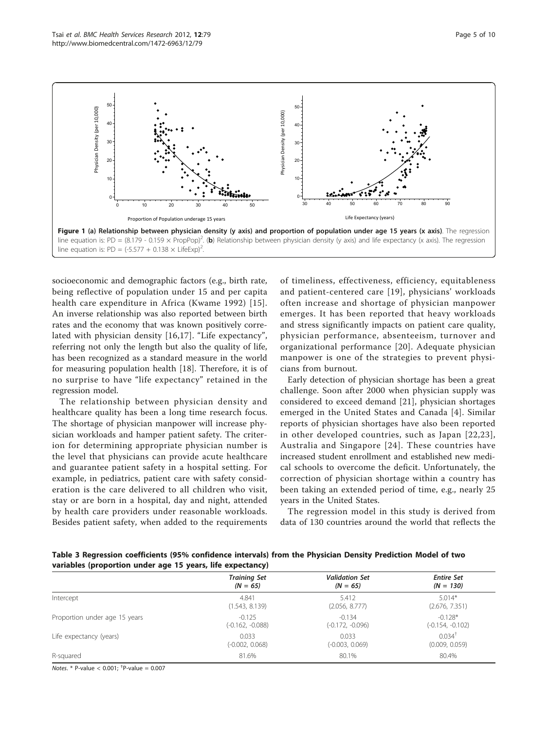<span id="page-4-0"></span>

socioeconomic and demographic factors (e.g., birth rate, being reflective of population under 15 and per capita health care expenditure in Africa (Kwame 1992) [[15\]](#page-9-0). An inverse relationship was also reported between birth rates and the economy that was known positively correlated with physician density [[16,17\]](#page-9-0). "Life expectancy", referring not only the length but also the quality of life, has been recognized as a standard measure in the world for measuring population health [\[18](#page-9-0)]. Therefore, it is of no surprise to have "life expectancy" retained in the regression model.

The relationship between physician density and healthcare quality has been a long time research focus. The shortage of physician manpower will increase physician workloads and hamper patient safety. The criterion for determining appropriate physician number is the level that physicians can provide acute healthcare and guarantee patient safety in a hospital setting. For example, in pediatrics, patient care with safety consideration is the care delivered to all children who visit, stay or are born in a hospital, day and night, attended by health care providers under reasonable workloads. Besides patient safety, when added to the requirements

of timeliness, effectiveness, efficiency, equitableness and patient-centered care [\[19\]](#page-9-0), physicians' workloads often increase and shortage of physician manpower emerges. It has been reported that heavy workloads and stress significantly impacts on patient care quality, physician performance, absenteeism, turnover and organizational performance [[20](#page-9-0)]. Adequate physician manpower is one of the strategies to prevent physicians from burnout.

Early detection of physician shortage has been a great challenge. Soon after 2000 when physician supply was considered to exceed demand [[21\]](#page-9-0), physician shortages emerged in the United States and Canada [[4\]](#page-9-0). Similar reports of physician shortages have also been reported in other developed countries, such as Japan [[22,23\]](#page-9-0), Australia and Singapore [[24](#page-9-0)]. These countries have increased student enrollment and established new medical schools to overcome the deficit. Unfortunately, the correction of physician shortage within a country has been taking an extended period of time, e.g., nearly 25 years in the United States.

The regression model in this study is derived from data of 130 countries around the world that reflects the

Table 3 Regression coefficients (95% confidence intervals) from the Physician Density Prediction Model of two variables (proportion under age 15 years, life expectancy)

|                               | <b>Training Set</b> | <b>Validation Set</b> | <b>Entire Set</b>    |
|-------------------------------|---------------------|-----------------------|----------------------|
|                               | $(N = 65)$          | $(N = 65)$            | $(N = 130)$          |
| Intercept                     | 4.841               | 5.412                 | $5.014*$             |
|                               | (1.543, 8.139)      | (2.056, 8.777)        | (2.676, 7.351)       |
| Proportion under age 15 years | $-0.125$            | $-0.134$              | $-0.128*$            |
|                               | $(-0.162, -0.088)$  | $(-0.172, -0.096)$    | $(-0.154, -0.102)$   |
| Life expectancy (years)       | 0.033               | 0.033                 | $0.034$ <sup>+</sup> |
|                               | $(-0.002, 0.068)$   | $(-0.003, 0.069)$     | (0.009, 0.059)       |
| R-squared                     | 81.6%               | 80.1%                 | 80.4%                |

Notes.  $*$  P-value  $<$  0.001; <sup>†</sup>P-value = 0.007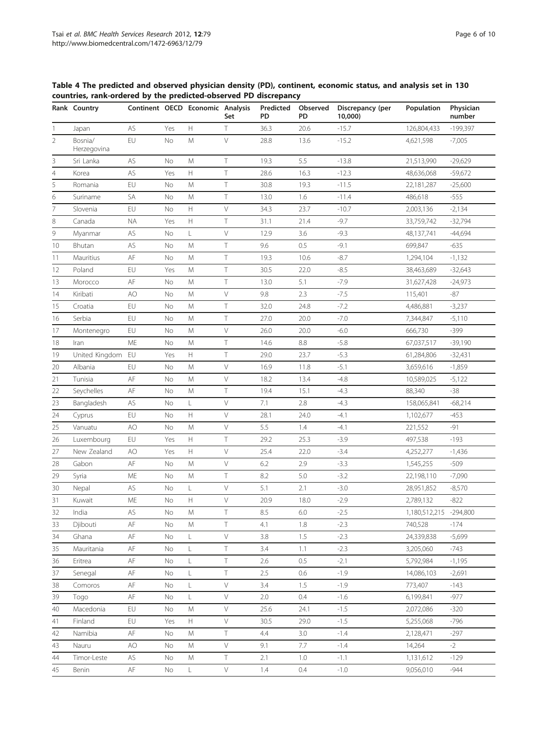<span id="page-5-0"></span>

| Table 4 The predicted and observed physician density (PD), continent, economic status, and analysis set in 130 |
|----------------------------------------------------------------------------------------------------------------|
| countries, rank-ordered by the predicted-observed PD discrepancy                                               |

|                | Rank Country           |               |     | Continent OECD Economic Analysis | Set    | Predicted<br>PD | Observed<br><b>PD</b> | Discrepancy (per<br>10,000) | Population             | Physician<br>number |
|----------------|------------------------|---------------|-----|----------------------------------|--------|-----------------|-----------------------|-----------------------------|------------------------|---------------------|
| 1              | Japan                  | AS            | Yes | Н                                | Τ      | 36.3            | 20.6                  | $-15.7$                     | 126,804,433            | $-199,397$          |
| $\overline{2}$ | Bosnia/<br>Herzegovina | EU            | No  | M                                | $\vee$ | 28.8            | 13.6                  | $-15.2$                     | 4,621,598              | $-7,005$            |
| 3              | Sri Lanka              | AS            | No  | M                                | T      | 19.3            | 5.5                   | $-13.8$                     | 21,513,990             | $-29,629$           |
| $\overline{4}$ | Korea                  | AS            | Yes | Н                                | Τ      | 28.6            | 16.3                  | $-12.3$                     | 48,636,068             | $-59,672$           |
| 5              | Romania                | EU            | No  | M                                | Τ      | 30.8            | 19.3                  | $-11.5$                     | 22,181,287             | $-25,600$           |
| 6              | Suriname               | SA            | No  | M                                | T      | 13.0            | 1.6                   | $-11.4$                     | 486,618                | $-555$              |
| 7              | Slovenia               | EU            | No  | Н                                | $\vee$ | 34.3            | 23.7                  | $-10.7$                     | 2,003,136              | $-2,134$            |
| 8              | Canada                 | <b>NA</b>     | Yes | Н                                | T      | 31.1            | 21.4                  | $-9.7$                      | 33,759,742             | $-32,794$           |
| 9              | Myanmar                | AS            | No  | L                                | $\vee$ | 12.9            | 3.6                   | $-9.3$                      | 48,137,741             | $-44,694$           |
| 10             | Bhutan                 | AS            | No  | M                                | Τ      | 9.6             | 0.5                   | $-9.1$                      | 699,847                | $-635$              |
| 11             | Mauritius              | $\mathsf{AF}$ | No  | M                                | T      | 19.3            | 10.6                  | $-8.7$                      | 1,294,104              | $-1,132$            |
| 12             | Poland                 | EU            | Yes | M                                | T      | 30.5            | 22.0                  | $-8.5$                      | 38,463,689             | $-32,643$           |
| 13             | Morocco                | AF            | No  | M                                | T      | 13.0            | 5.1                   | $-7.9$                      | 31,627,428             | $-24,973$           |
| 14             | Kiribati               | AO            | No  | M                                | V      | 9.8             | 2.3                   | $-7.5$                      | 115,401                | -87                 |
| 15             | Croatia                | EU            | No  | M                                | Τ      | 32.0            | 24.8                  | $-7.2$                      | 4,486,881              | $-3,237$            |
| 16             | Serbia                 | EU            | No  | M                                | T      | 27.0            | 20.0                  | $-7.0$                      | 7,344,847              | $-5,110$            |
| 17             | Montenegro             | EU            | No  | M                                | $\vee$ | 26.0            | 20.0                  | $-6.0$                      | 666,730                | $-399$              |
| 18             | Iran                   | ME            | No  | M                                | T      | 14.6            | 8.8                   | $-5.8$                      | 67,037,517             | $-39,190$           |
| 19             | United Kingdom         | EU            | Yes | Н                                | T      | 29.0            | 23.7                  | $-5.3$                      | 61,284,806             | $-32,431$           |
| 20             | Albania                | EU            | No  | M                                | $\vee$ | 16.9            | 11.8                  | $-5.1$                      | 3,659,616              | $-1,859$            |
| 21             | Tunisia                | AF            | No  | M                                | $\vee$ | 18.2            | 13.4                  | $-4.8$                      | 10,589,025             | $-5,122$            |
| 22             | Seychelles             | AF            | No  | M                                | T      | 19.4            | 15.1                  | $-4.3$                      | 88,340                 | $-38$               |
| 23             | Bangladesh             | AS            | No  | L                                | $\vee$ | 7.1             | 2.8                   | $-4.3$                      | 158,065,841            | $-68,214$           |
| 24             | Cyprus                 | EU            | No  | Н                                | V      | 28.1            | 24.0                  | $-4.1$                      | 1,102,677              | $-453$              |
| 25             | Vanuatu                | AO            | No  | M                                | V      | 5.5             | 1.4                   | $-4.1$                      | 221,552                | $-91$               |
| 26             | Luxembourg             | EU            | Yes | Н                                | Τ      | 29.2            | 25.3                  | $-3.9$                      | 497,538                | $-193$              |
| 27             | New Zealand            | AO            | Yes | Н                                | $\vee$ | 25.4            | 22.0                  | $-3.4$                      | 4,252,277              | $-1,436$            |
| 28             | Gabon                  | AF            | No  | M                                | $\vee$ | 6.2             | 2.9                   | $-3.3$                      | 1,545,255              | $-509$              |
| 29             | Syria                  | ME            | No  | M                                | Τ      | 8.2             | 5.0                   | $-3.2$                      | 22,198,110             | $-7,090$            |
| 30             | Nepal                  | AS            | No  | L                                | $\vee$ | 5.1             | 2.1                   | $-3.0$                      | 28,951,852             | $-8,570$            |
| 31             | Kuwait                 | ME            | No  | Н                                | $\vee$ | 20.9            | 18.0                  | $-2.9$                      | 2,789,132              | $-822$              |
| 32             | India                  | AS            | No  | ${\sf M}$                        | T      | 8.5             | $6.0\,$               | $-2.5$                      | 1,180,512,215 -294,800 |                     |
| 33             | Djibouti               | AF            | No  | M                                | Τ      | 4.1             | 1.8                   | $-2.3$                      | 740,528                | $-174$              |
| 34             | Ghana                  | AF            | No  | L                                | $\vee$ | 3.8             | 1.5                   | $-2.3$                      | 24,339,838             | $-5,699$            |
| 35             | Mauritania             | AF            | No  | L                                | T      | 3.4             | 1.1                   | $-2.3$                      | 3,205,060              | $-743$              |
| 36             | Eritrea                | $\mathsf{AF}$ | No  | L                                | Τ      | 2.6             | 0.5                   | $-2.1$                      | 5,792,984              | $-1,195$            |
| 37             | Senegal                | AF            | No  | L                                | T      | 2.5             | 0.6                   | $-1.9$                      | 14,086,103             | $-2,691$            |
| 38             | Comoros                | $\mathsf{AF}$ | No  | L                                | $\vee$ | 3.4             | 1.5                   | $-1.9$                      | 773,407                | $-143$              |
| 39             | Togo                   | AF            | No  | L                                | V      | 2.0             | 0.4                   | $-1.6$                      | 6,199,841              | $-977$              |
| 40             | Macedonia              | EU            | No  | M                                | V      | 25.6            | 24.1                  | $-1.5$                      | 2,072,086              | $-320$              |
| 41             | Finland                | EU            | Yes | н                                | V      | 30.5            | 29.0                  | $-1.5$                      | 5,255,068              | $-796$              |
| 42             | Namibia                | AF            | No  | M                                | T      | 4.4             | 3.0                   | $-1.4$                      | 2,128,471              | $-297$              |
| 43             | Nauru                  | AO            | No  | M                                | $\vee$ | 9.1             | 7.7                   | $-1.4$                      | 14,264                 | $-2$                |
| 44             | Timor-Leste            | AS            | No  | M                                | Τ      | 2.1             | 1.0                   | $-1.1$                      | 1,131,612              | $-129$              |
| 45             | Benin                  | $\mathsf{AF}$ | No  | L                                | V      | 1.4             | 0.4                   | $-1.0$                      | 9,056,010              | $-944$              |
|                |                        |               |     |                                  |        |                 |                       |                             |                        |                     |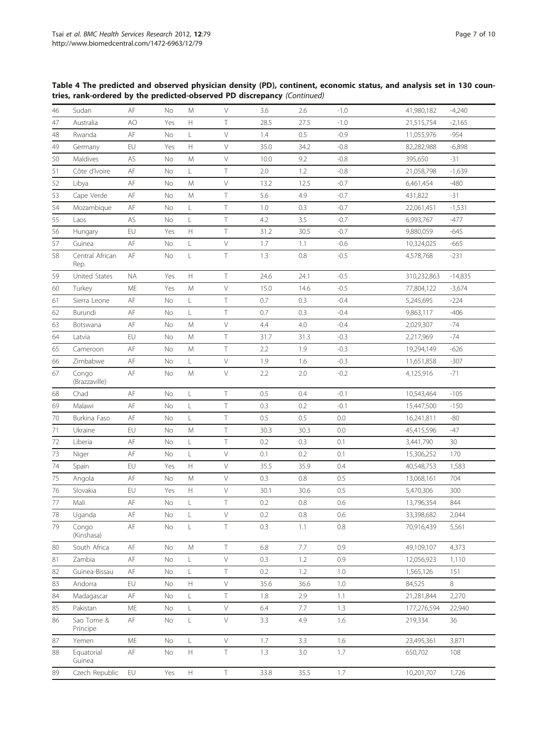| 46 | Sudan                   | AF            | No  | M                                                                 | $\vee$ | 3.6  | 2.6     | $-1.0$ | 41,980,182  | $-4,240$  |
|----|-------------------------|---------------|-----|-------------------------------------------------------------------|--------|------|---------|--------|-------------|-----------|
| 47 | Australia               | AO            | Yes | H                                                                 | Τ      | 28.5 | 27.5    | $-1.0$ | 21,515,754  | $-2,165$  |
| 48 | Rwanda                  | AF            | No  | L                                                                 | $\vee$ | 1.4  | 0.5     | $-0.9$ | 11,055,976  | $-954$    |
| 49 | Germany                 | EU            | Yes | H.                                                                | $\vee$ | 35.0 | 34.2    | $-0.8$ | 82,282,988  | $-6,898$  |
| 50 | Maldives                | AS            | No  | M                                                                 | $\vee$ | 10.0 | 9.2     | $-0.8$ | 395,650     | $-31$     |
| 51 | Côte d'Ivoire           | AF            | No  | L                                                                 | Τ      | 2.0  | 1.2     | $-0.8$ | 21,058,798  | $-1,639$  |
| 52 | Libya                   | AF            | No  | M                                                                 | $\vee$ | 13.2 | 12.5    | $-0.7$ | 6,461,454   | $-480$    |
| 53 | Cape Verde              | AF            | No  | M                                                                 | T      | 5.6  | 4.9     | $-0.7$ | 431,822     | $-31$     |
| 54 | Mozambique              | AF            | No  | L                                                                 | T      | 1.0  | 0.3     | $-0.7$ | 22,061,451  | $-1,531$  |
| 55 | Laos                    | AS            | No  | L                                                                 | T      | 4.2  | 3.5     | $-0.7$ | 6,993,767   | -477      |
| 56 | Hungary                 | EU            | Yes | H                                                                 | Τ      | 31.2 | 30.5    | $-0.7$ | 9,880,059   | $-645$    |
| 57 | Guinea                  | AF            | No  | L                                                                 | V      | 1.7  | 1.1     | $-0.6$ | 10,324,025  | $-665$    |
| 58 | Central African<br>Rep. | AF            | No  | L                                                                 | T      | 1.3  | 0.8     | $-0.5$ | 4,578,768   | $-231$    |
| 59 | United States           | ΝA            | Yes | H                                                                 | T      | 24.6 | 24.1    | $-0.5$ | 310,232,863 | $-14,835$ |
| 60 | Turkey                  | ME            | Yes | M                                                                 | $\vee$ | 15.0 | 14.6    | $-0.5$ | 77,804,122  | $-3,674$  |
| 61 | Sierra Leone            | AF            | No  | L                                                                 | Τ      | 0.7  | 0.3     | $-0.4$ | 5,245,695   | $-224$    |
| 62 | Burundi                 | AF            | No  | L                                                                 | T      | 0.7  | 0.3     | $-0.4$ | 9,863,117   | $-406$    |
| 63 | Botswana                | AF            | No  | M                                                                 | $\vee$ | 4.4  | 4.0     | $-0.4$ | 2,029,307   | $-74$     |
| 64 | Latvia                  | EU            | No  | M                                                                 | T      | 31.7 | 31.3    | $-0.3$ | 2,217,969   | $-74$     |
| 65 | Cameroon                | AF            | No  | M                                                                 | Τ      | 2.2  | 1.9     | $-0.3$ | 19,294,149  | $-626$    |
| 66 | Zimbabwe                | AF            | No  | L                                                                 | $\vee$ | 1.9  | 1.6     | $-0.3$ | 11,651,858  | $-307$    |
| 67 | Congo<br>(Brazzaville)  | AF            | No  | M                                                                 | $\vee$ | 2.2  | 2.0     | $-0.2$ | 4,125,916   | $-71$     |
| 68 | Chad                    | AF            | No  | L                                                                 | T      | 0.5  | 0.4     | $-0.1$ | 10,543,464  | $-105$    |
| 69 | Malawi                  | AF            | No  | L                                                                 | T      | 0.3  | 0.2     | $-0.1$ | 15,447,500  | $-150$    |
| 70 | Burkina Faso            | AF            | No  | L                                                                 | T      | 0.5  | 0.5     | 0.0    | 16,241,811  | $-80$     |
| 71 | Ukraine                 | EU            | No  | M                                                                 | Τ      | 30.3 | 30.3    | 0.0    | 45,415,596  | $-47$     |
| 72 | Liberia                 | AF            | No  | L                                                                 | Τ      | 0.2  | 0.3     | 0.1    | 3,441,790   | 30        |
| 73 | Niger                   | AF            | No  | L                                                                 | $\vee$ | 0.1  | 0.2     | 0.1    | 15,306,252  | 170       |
| 74 | Spain                   | EU            | Yes | H                                                                 | $\vee$ | 35.5 | 35.9    | 0.4    | 40,548,753  | 1,583     |
| 75 | Angola                  | AF            | No  | M                                                                 | $\vee$ | 0.3  | 0.8     | 0.5    | 13,068,161  | 704       |
| 76 | Slovakia                | EU            | Yes | H                                                                 | $\vee$ | 30.1 | 30.6    | 0.5    | 5,470,306   | 300       |
| 77 | Mali                    | AF            | No  | L                                                                 | T      | 0.2  | 0.8     | 0.6    | 13,796,354  | 844       |
| 78 | Uganda                  | $\mathsf{AF}$ | No  | L                                                                 | $\vee$ | 0.2  | $0.8\,$ | 0.6    | 33,398,682  | 2,044     |
| 79 | Congo<br>(Kinshasa)     | AF            | No  | L                                                                 | T      | 0.3  | 1.1     | 0.8    | 70,916,439  | 5,561     |
| 80 | South Africa            | AF            | No  | М                                                                 | Τ      | 6.8  | 7.7     | 0.9    | 49,109,107  | 4,373     |
| 81 | Zambia                  | AF            | No  | L                                                                 | $\vee$ | 0.3  | 1.2     | 0.9    | 12,056,923  | 1,110     |
| 82 | Guinea-Bissau           | AF            | No  | L                                                                 | Τ      | 0.2  | 1.2     | 1.0    | 1,565,126   | 151       |
| 83 | Andorra                 | EU            | No  | $\mathsf{H}% _{\mathsf{H}}^{\ast}=\mathsf{H}_{\mathsf{H}}^{\ast}$ | $\vee$ | 35.6 | 36.6    | 1.0    | 84,525      | 8         |
| 84 | Madagascar              | AF            | No  | L                                                                 | Τ      | 1.8  | 2.9     | 1.1    | 21,281,844  | 2,270     |
| 85 | Pakistan                | ME            | No  | L                                                                 | $\vee$ | 6.4  | 7.7     | 1.3    | 177,276,594 | 22,940    |
| 86 | Sao Tome &<br>Principe  | AF            | No  | L                                                                 | $\vee$ | 3.3  | 4.9     | 1.6    | 219,334     | 36        |
| 87 | Yemen                   | ME            | No  | L                                                                 | V      | 1.7  | 3.3     | 1.6    | 23,495,361  | 3,871     |
| 88 | Equatorial<br>Guinea    | AF            | No  | $\mathsf{H}% _{\mathsf{H}}^{\ast}=\mathsf{H}_{\mathsf{H}}^{\ast}$ | Τ      | 1.3  | 3.0     | 1.7    | 650,702     | 108       |
| 89 | Czech Republic          | EU            | Yes | H                                                                 | Τ      | 33.8 | 35.5    | 1.7    | 10,201,707  | 1,726     |

Table 4 The predicted and observed physician density (PD), continent, economic status, and analysis set in 130 countries, rank-ordered by the predicted-observed PD discrepancy (Continued)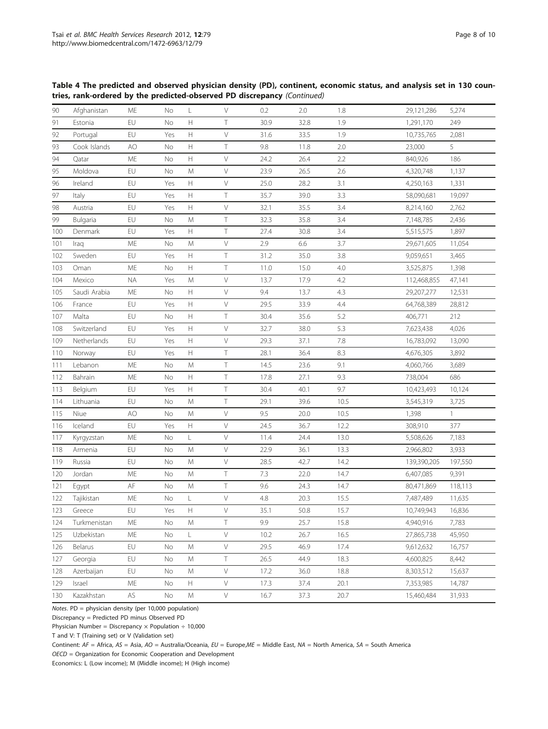| 90  | Afghanistan  | ME        | No  | L                                                                 | V      | 0.2  | 2.0  | 1.8  | 29,121,286  | 5,274        |
|-----|--------------|-----------|-----|-------------------------------------------------------------------|--------|------|------|------|-------------|--------------|
| 91  | Estonia      | EU        | No  | Н                                                                 | T      | 30.9 | 32.8 | 1.9  | 1,291,170   | 249          |
| 92  | Portugal     | EU        | Yes | Н                                                                 | $\vee$ | 31.6 | 33.5 | 1.9  | 10,735,765  | 2,081        |
| 93  | Cook Islands | AO        | No  | $\mathbb H$                                                       | T      | 9.8  | 11.8 | 2.0  | 23,000      | 5            |
| 94  | Qatar        | ME        | No  | $\mathsf{H}% _{\mathsf{H}}^{\ast}=\mathsf{H}_{\mathsf{H}}^{\ast}$ | $\vee$ | 24.2 | 26.4 | 2.2  | 840,926     | 186          |
| 95  | Moldova      | EU        | No  | M                                                                 | $\vee$ | 23.9 | 26.5 | 2.6  | 4,320,748   | 1,137        |
| 96  | Ireland      | EU        | Yes | Н                                                                 | $\vee$ | 25.0 | 28.2 | 3.1  | 4,250,163   | 1,331        |
| 97  | Italy        | EU        | Yes | Н                                                                 | T      | 35.7 | 39.0 | 3.3  | 58,090,681  | 19,097       |
| 98  | Austria      | EU        | Yes | H                                                                 | $\vee$ | 32.1 | 35.5 | 3.4  | 8,214,160   | 2,762        |
| 99  | Bulgaria     | EU        | No  | M                                                                 | Τ      | 32.3 | 35.8 | 3.4  | 7,148,785   | 2,436        |
| 100 | Denmark      | EU        | Yes | Н                                                                 | Τ      | 27.4 | 30.8 | 3.4  | 5,515,575   | 1,897        |
| 101 | Iraq         | ME        | No  | M                                                                 | $\vee$ | 2.9  | 6.6  | 3.7  | 29,671,605  | 11,054       |
| 102 | Sweden       | EU        | Yes | Н                                                                 | T      | 31.2 | 35.0 | 3.8  | 9,059,651   | 3,465        |
| 103 | Oman         | ME        | No  | $\mathbb H$                                                       | T      | 11.0 | 15.0 | 4.0  | 3,525,875   | 1,398        |
| 104 | Mexico       | <b>NA</b> | Yes | M                                                                 | $\vee$ | 13.7 | 17.9 | 4.2  | 112,468,855 | 47,141       |
| 105 | Saudi Arabia | ME        | No  | Н                                                                 | $\vee$ | 9.4  | 13.7 | 4.3  | 29,207,277  | 12,531       |
| 106 | France       | EU        | Yes | $\mathbb H$                                                       | $\vee$ | 29.5 | 33.9 | 4.4  | 64,768,389  | 28,812       |
| 107 | Malta        | EU        | No  | Н                                                                 | T      | 30.4 | 35.6 | 5.2  | 406,771     | 212          |
| 108 | Switzerland  | EU        | Yes | $\mathsf{H}% _{\mathbb{R}}^{1}\!\left( \mathbb{R}^{2}\right)$     | $\vee$ | 32.7 | 38.0 | 5.3  | 7,623,438   | 4,026        |
| 109 | Netherlands  | EU        | Yes | Н                                                                 | $\vee$ | 29.3 | 37.1 | 7.8  | 16,783,092  | 13,090       |
| 110 | Norway       | EU        | Yes | Н                                                                 | Τ      | 28.1 | 36.4 | 8.3  | 4,676,305   | 3,892        |
| 111 | Lebanon      | ME        | No  | M                                                                 | T      | 14.5 | 23.6 | 9.1  | 4,060,766   | 3,689        |
| 112 | Bahrain      | ME        | No  | Н                                                                 | T      | 17.8 | 27.1 | 9.3  | 738,004     | 686          |
| 113 | Belgium      | EU        | Yes | Н                                                                 | Τ      | 30.4 | 40.1 | 9.7  | 10,423,493  | 10,124       |
| 114 | Lithuania    | EU        | No  | M                                                                 | Τ      | 29.1 | 39.6 | 10.5 | 3,545,319   | 3,725        |
| 115 | Niue         | AO        | No  | M                                                                 | $\vee$ | 9.5  | 20.0 | 10.5 | 1,398       | $\mathbf{1}$ |
| 116 | Iceland      | EU        | Yes | Н                                                                 | $\vee$ | 24.5 | 36.7 | 12.2 | 308,910     | 377          |
| 117 | Kyrgyzstan   | ME        | No  | L                                                                 | $\vee$ | 11.4 | 24.4 | 13.0 | 5,508,626   | 7,183        |
| 118 | Armenia      | EU        | No  | M                                                                 | $\vee$ | 22.9 | 36.1 | 13.3 | 2,966,802   | 3,933        |
| 119 | Russia       | EU        | No  | M                                                                 | $\vee$ | 28.5 | 42.7 | 14.2 | 139,390,205 | 197,550      |
| 120 | Jordan       | ME        | No  | M                                                                 | T      | 7.3  | 22.0 | 14.7 | 6,407,085   | 9,391        |
| 121 | Egypt        | AF        | No  | M                                                                 | T      | 9.6  | 24.3 | 14.7 | 80,471,869  | 118,113      |
| 122 | Tajikistan   | ME        | No  | L                                                                 | $\vee$ | 4.8  | 20.3 | 15.5 | 7,487,489   | 11,635       |
| 123 | Greece       | EU        | Yes | Н                                                                 | $\vee$ | 35.1 | 50.8 | 15.7 | 10,749,943  | 16,836       |
| 124 | Turkmenistan | ME        | No  | M                                                                 | Τ      | 9.9  | 25.7 | 15.8 | 4,940,916   | 7,783        |
| 125 | Uzbekistan   | ME        | No  | L                                                                 | $\vee$ | 10.2 | 26.7 | 16.5 | 27,865,738  | 45,950       |
| 126 | Belarus      | EU        | No  | M                                                                 | $\vee$ | 29.5 | 46.9 | 17.4 | 9,612,632   | 16,757       |
| 127 | Georgia      | EU        | No  | ${\mathsf M}$                                                     | Τ      | 26.5 | 44.9 | 18.3 | 4,600,825   | 8,442        |
| 128 | Azerbaijan   | EU        | No  | M                                                                 | $\vee$ | 17.2 | 36.0 | 18.8 | 8,303,512   | 15,637       |
| 129 | Israel       | ME        | No  | H                                                                 | $\vee$ | 17.3 | 37.4 | 20.1 | 7,353,985   | 14,787       |
| 130 | Kazakhstan   | AS        | No  | M                                                                 | $\vee$ | 16.7 | 37.3 | 20.7 | 15,460,484  | 31,933       |

Table 4 The predicted and observed physician density (PD), continent, economic status, and analysis set in 130 countries, rank-ordered by the predicted-observed PD discrepancy (Continued)

Notes. PD = physician density (per 10,000 population)

Discrepancy = Predicted PD minus Observed PD

Physician Number = Discrepancy  $\times$  Population  $\div$  10,000

T and V: T (Training set) or V (Validation set)

Continent:  $AF = Africa$ ,  $AS = Asia$ ,  $AO = Australia/Oceania$ ,  $EU = Europe$ ,  $ME = Middle$  East,  $NA = North$  America,  $SA = South$  America

OECD = Organization for Economic Cooperation and Development

Economics: L (Low income); M (Middle income); H (High income)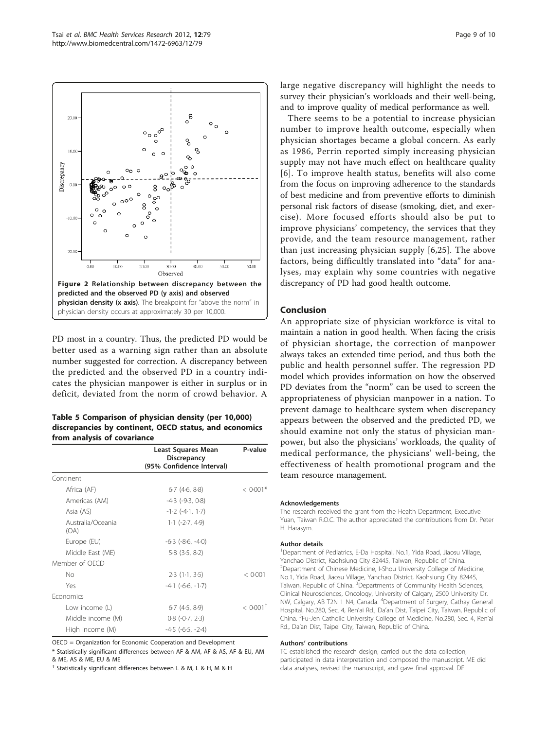<span id="page-8-0"></span>

PD most in a country. Thus, the predicted PD would be better used as a warning sign rather than an absolute number suggested for correction. A discrepancy between the predicted and the observed PD in a country indicates the physician manpower is either in surplus or in deficit, deviated from the norm of crowd behavior. A

| Table 5 Comparison of physician density (per 10,000)   |  |
|--------------------------------------------------------|--|
| discrepancies by continent, OECD status, and economics |  |
| from analysis of covariance                            |  |

|                           | Least Squares Mean<br><b>Discrepancy</b><br>(95% Confidence Interval) | P-value                |
|---------------------------|-----------------------------------------------------------------------|------------------------|
| Continent                 |                                                                       |                        |
| Africa (AF)               | $6.7$ (4.6, 8.8)                                                      | $< 0.001*$             |
| Americas (AM)             | $-4.3$ $(-9.3, 0.8)$                                                  |                        |
| Asia (AS)                 | $-1.2$ ( $-4.1$ , $1.7$ )                                             |                        |
| Australia/Oceania<br>(OA) | $1.1$ (-2.7, 4.9)                                                     |                        |
| Europe (EU)               | $-6.3$ $(-8.6, -4.0)$                                                 |                        |
| Middle East (ME)          | $5.8$ $(3.5, 8.2)$                                                    |                        |
| Member of OFCD            |                                                                       |                        |
| No                        | 2.3(1.1, 3.5)                                                         | < 0.001                |
| Yρς                       | $-4.1$ ( $-6.6$ , $-1.7$ )                                            |                        |
| Fconomics                 |                                                                       |                        |
| Low income (L)            | $6.7$ (4.5, 8.9)                                                      | $< 0.001$ <sup>T</sup> |
| Middle income (M)         | $0.8$ ( $-0.7$ , $2.3$ )                                              |                        |
| High income (M)           | $-4.5$ ( $-6.5$ , $-2.4$ )                                            |                        |

OECD = Organization for Economic Cooperation and Development

\* Statistically significant differences between AF & AM, AF & AS, AF & EU, AM & ME, AS & ME, EU & ME

† Statistically significant differences between L & M, L & H, M & H

large negative discrepancy will highlight the needs to survey their physician's workloads and their well-being, and to improve quality of medical performance as well.

There seems to be a potential to increase physician number to improve health outcome, especially when physician shortages became a global concern. As early as 1986, Perrin reported simply increasing physician supply may not have much effect on healthcare quality [[6](#page-9-0)]. To improve health status, benefits will also come from the focus on improving adherence to the standards of best medicine and from preventive efforts to diminish personal risk factors of disease (smoking, diet, and exercise). More focused efforts should also be put to improve physicians' competency, the services that they provide, and the team resource management, rather than just increasing physician supply [\[6,25\]](#page-9-0). The above factors, being difficultly translated into "data" for analyses, may explain why some countries with negative discrepancy of PD had good health outcome.

#### Conclusion

An appropriate size of physician workforce is vital to maintain a nation in good health. When facing the crisis of physician shortage, the correction of manpower always takes an extended time period, and thus both the public and health personnel suffer. The regression PD model which provides information on how the observed PD deviates from the "norm" can be used to screen the appropriateness of physician manpower in a nation. To prevent damage to healthcare system when discrepancy appears between the observed and the predicted PD, we should examine not only the status of physician manpower, but also the physicians' workloads, the quality of medical performance, the physicians' well-being, the effectiveness of health promotional program and the team resource management.

#### Acknowledgements

The research received the grant from the Health Department, Executive Yuan, Taiwan R.O.C. The author appreciated the contributions from Dr. Peter H. Harasym.

#### Author details

<sup>1</sup>Department of Pediatrics, E-Da Hospital, No.1, Yida Road, Jiaosu Village, Yanchao District, Kaohsiung City 82445, Taiwan, Republic of China. 2 Department of Chinese Medicine, I-Shou University College of Medicine, No.1, Yida Road, Jiaosu Village, Yanchao District, Kaohsiung City 82445, Taiwan, Republic of China. <sup>3</sup>Departments of Community Health Sciences, Clinical Neurosciences, Oncology, University of Calgary, 2500 University Dr. NW, Calgary, AB T2N 1 N4, Canada. <sup>4</sup>Department of Surgery, Cathay General Hospital, No.280, Sec. 4, Ren'ai Rd., Da'an Dist, Taipei City, Taiwan, Republic of China. <sup>5</sup>Fu-Jen Catholic University College of Medicine, No.280, Sec. 4, Ren'ai Rd., Da'an Dist, Taipei City, Taiwan, Republic of China.

#### Authors' contributions

TC established the research design, carried out the data collection, participated in data interpretation and composed the manuscript. ME did data analyses, revised the manuscript, and gave final approval. DF